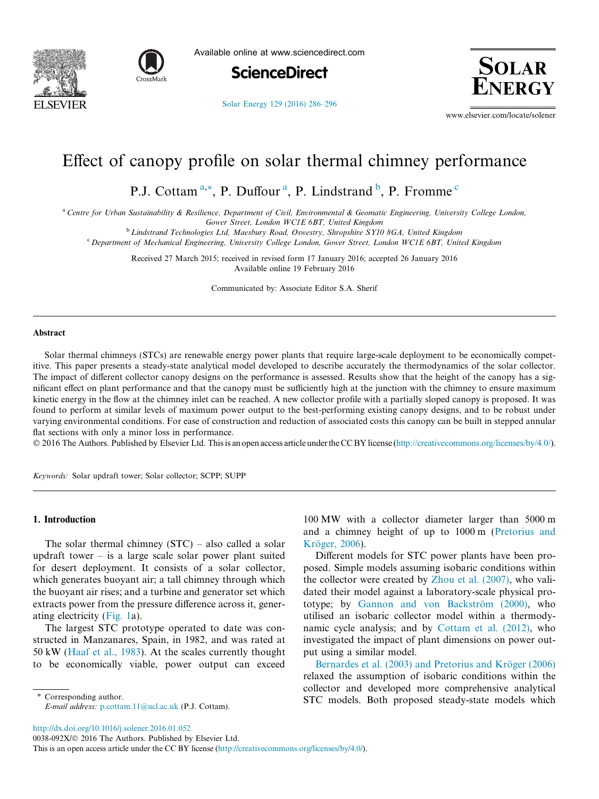



Available online at www.sciencedirect.com

**ScienceDirect** 



[Solar Energy 129 \(2016\) 286–296](http://dx.doi.org/10.1016/j.solener.2016.01.052)

www.elsevier.com/locate/solener

# Effect of canopy profile on solar thermal chimney performance

P.J. Cottam<sup>a,\*</sup>, P. Duffour<sup>a</sup>, P. Lindstrand<sup>b</sup>, P. Fromme<sup>c</sup>

<sup>a</sup> Centre for Urban Sustainability & Resilience, Department of Civil, Environmental & Geomatic Engineering, University College London,

Gower Street, London WC1E 6BT, United Kingdom

<sup>b</sup> Lindstrand Technologies Ltd, Maesbury Road, Oswestry, Shropshire SY10 8GA, United Kingdom

<sup>c</sup> Department of Mechanical Engineering, University College London, Gower Street, London WC1E 6BT, United Kingdom

Received 27 March 2015; received in revised form 17 January 2016; accepted 26 January 2016 Available online 19 February 2016

Communicated by: Associate Editor S.A. Sherif

## Abstract

Solar thermal chimneys (STCs) are renewable energy power plants that require large-scale deployment to be economically competitive. This paper presents a steady-state analytical model developed to describe accurately the thermodynamics of the solar collector. The impact of different collector canopy designs on the performance is assessed. Results show that the height of the canopy has a significant effect on plant performance and that the canopy must be sufficiently high at the junction with the chimney to ensure maximum kinetic energy in the flow at the chimney inlet can be reached. A new collector profile with a partially sloped canopy is proposed. It was found to perform at similar levels of maximum power output to the best-performing existing canopy designs, and to be robust under varying environmental conditions. For ease of construction and reduction of associated costs this canopy can be built in stepped annular flat sections with only a minor loss in performance.

2016 The Authors. Published by Elsevier Ltd. This is an open access article under the CC BY license [\(http://creativecommons.org/licenses/by/4.0/\)](http://creativecommons.org/licenses/by/4.0/).

Keywords: Solar updraft tower; Solar collector; SCPP; SUPP

## 1. Introduction

The solar thermal chimney  $(TC)$  – also called a solar updraft tower – is a large scale solar power plant suited for desert deployment. It consists of a solar collector, which generates buoyant air; a tall chimney through which the buoyant air rises; and a turbine and generator set which extracts power from the pressure difference across it, generating electricity [\(Fig. 1a](#page-1-0)).

The largest STC prototype operated to date was constructed in Manzanares, Spain, in 1982, and was rated at 50 kW [\(Haaf et al., 1983\)](#page-10-0). At the scales currently thought to be economically viable, power output can exceed

100 MW with a collector diameter larger than 5000 m and a chimney height of up to 1000 m [\(Pretorius and](#page-10-0) Kröger, 2006).

Different models for STC power plants have been proposed. Simple models assuming isobaric conditions within the collector were created by [Zhou et al. \(2007\),](#page-10-0) who validated their model against a laboratory-scale physical prototype; by Gannon and von Backström  $(2000)$ , who utilised an isobaric collector model within a thermodynamic cycle analysis; and by [Cottam et al. \(2012\)](#page-10-0), who investigated the impact of plant dimensions on power output using a similar model.

Bernardes et al. (2003) and Pretorius and Kröger (2006) relaxed the assumption of isobaric conditions within the collector and developed more comprehensive analytical STC models. Both proposed steady-state models which

<http://dx.doi.org/10.1016/j.solener.2016.01.052>

0038-092X/ $\odot$  2016 The Authors. Published by Elsevier Ltd.

This is an open access article under the CC BY license ([http://creativecommons.org/licenses/by/4.0/\)](http://creativecommons.org/licenses/by/4.0/).

<sup>\*</sup> Corresponding author. E-mail address: [p.cottam.11@ucl.ac.uk](mailto:p.cottam.11@ucl.ac.uk) (P.J. Cottam).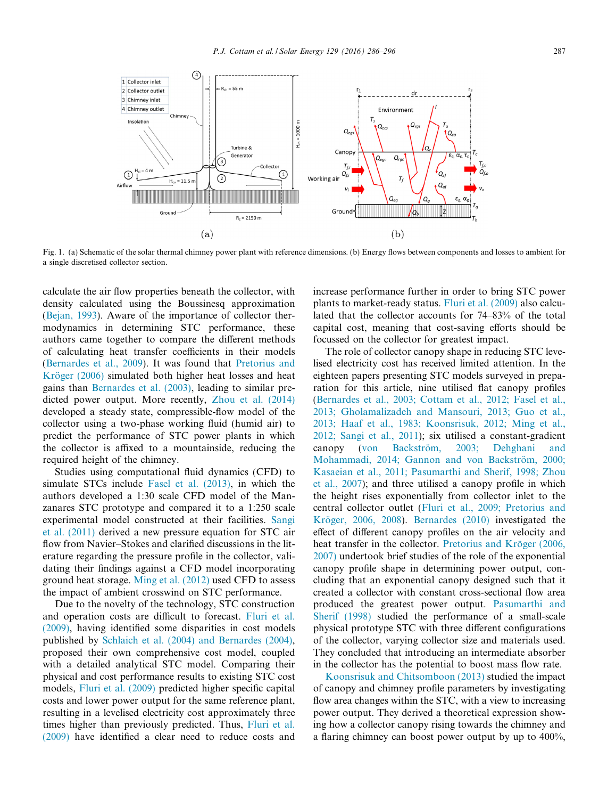<span id="page-1-0"></span>

Fig. 1. (a) Schematic of the solar thermal chimney power plant with reference dimensions. (b) Energy flows between components and losses to ambient for a single discretised collector section.

calculate the air flow properties beneath the collector, with density calculated using the Boussinesq approximation ([Bejan, 1993\)](#page-9-0). Aware of the importance of collector thermodynamics in determining STC performance, these authors came together to compare the different methods of calculating heat transfer coefficients in their models ([Bernardes et al., 2009\)](#page-9-0). It was found that [Pretorius and](#page-10-0) Kröger (2006) simulated both higher heat losses and heat gains than [Bernardes et al. \(2003\)](#page-9-0), leading to similar predicted power output. More recently, [Zhou et al. \(2014\)](#page-10-0) developed a steady state, compressible-flow model of the collector using a two-phase working fluid (humid air) to predict the performance of STC power plants in which the collector is affixed to a mountainside, reducing the required height of the chimney.

Studies using computational fluid dynamics (CFD) to simulate STCs include [Fasel et al. \(2013\)](#page-10-0), in which the authors developed a 1:30 scale CFD model of the Manzanares STC prototype and compared it to a 1:250 scale experimental model constructed at their facilities. [Sangi](#page-10-0) [et al. \(2011\)](#page-10-0) derived a new pressure equation for STC air flow from Navier–Stokes and clarified discussions in the literature regarding the pressure profile in the collector, validating their findings against a CFD model incorporating ground heat storage. [Ming et al. \(2012\)](#page-10-0) used CFD to assess the impact of ambient crosswind on STC performance.

Due to the novelty of the technology, STC construction and operation costs are difficult to forecast. [Fluri et al.](#page-10-0) [\(2009\)](#page-10-0), having identified some disparities in cost models published by [Schlaich et al. \(2004\) and Bernardes \(2004\),](#page-10-0) proposed their own comprehensive cost model, coupled with a detailed analytical STC model. Comparing their physical and cost performance results to existing STC cost models, [Fluri et al. \(2009\)](#page-10-0) predicted higher specific capital costs and lower power output for the same reference plant, resulting in a levelised electricity cost approximately three times higher than previously predicted. Thus, [Fluri et al.](#page-10-0) [\(2009\)](#page-10-0) have identified a clear need to reduce costs and increase performance further in order to bring STC power plants to market-ready status. [Fluri et al. \(2009\)](#page-10-0) also calculated that the collector accounts for 74–83% of the total capital cost, meaning that cost-saving efforts should be focussed on the collector for greatest impact.

The role of collector canopy shape in reducing STC levelised electricity cost has received limited attention. In the eighteen papers presenting STC models surveyed in preparation for this article, nine utilised flat canopy profiles ([Bernardes et al., 2003; Cottam et al., 2012; Fasel et al.,](#page-9-0) [2013; Gholamalizadeh and Mansouri, 2013; Guo et al.,](#page-9-0) [2013; Haaf et al., 1983; Koonsrisuk, 2012; Ming et al.,](#page-9-0) [2012; Sangi et al., 2011\)](#page-9-0); six utilised a constant-gradient canopy (von Backström, 2003; Dehghani and Mohammadi, 2014; Gannon and von Backström, 2000; [Kasaeian et al., 2011; Pasumarthi and Sherif, 1998; Zhou](#page-10-0) [et al., 2007](#page-10-0)); and three utilised a canopy profile in which the height rises exponentially from collector inlet to the central collector outlet [\(Fluri et al., 2009; Pretorius and](#page-10-0) Kröger, 2006, 2008). [Bernardes \(2010\)](#page-9-0) investigated the effect of different canopy profiles on the air velocity and heat transfer in the collector. Pretorius and Kröger (2006, [2007\)](#page-10-0) undertook brief studies of the role of the exponential canopy profile shape in determining power output, concluding that an exponential canopy designed such that it created a collector with constant cross-sectional flow area produced the greatest power output. [Pasumarthi and](#page-10-0) [Sherif \(1998\)](#page-10-0) studied the performance of a small-scale physical prototype STC with three different configurations of the collector, varying collector size and materials used. They concluded that introducing an intermediate absorber in the collector has the potential to boost mass flow rate.

[Koonsrisuk and Chitsomboon \(2013\)](#page-10-0) studied the impact of canopy and chimney profile parameters by investigating flow area changes within the STC, with a view to increasing power output. They derived a theoretical expression showing how a collector canopy rising towards the chimney and a flaring chimney can boost power output by up to 400%,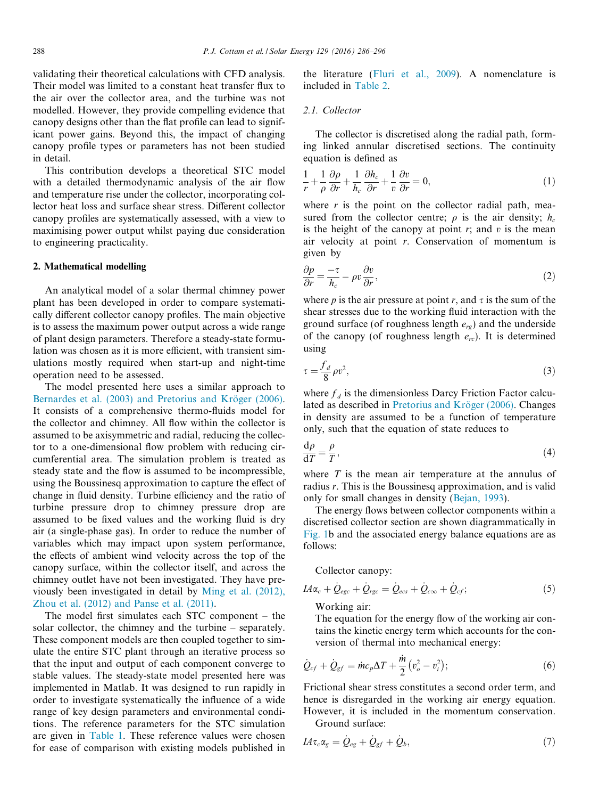<span id="page-2-0"></span>validating their theoretical calculations with CFD analysis. Their model was limited to a constant heat transfer flux to the air over the collector area, and the turbine was not modelled. However, they provide compelling evidence that canopy designs other than the flat profile can lead to significant power gains. Beyond this, the impact of changing canopy profile types or parameters has not been studied in detail.

This contribution develops a theoretical STC model with a detailed thermodynamic analysis of the air flow and temperature rise under the collector, incorporating collector heat loss and surface shear stress. Different collector canopy profiles are systematically assessed, with a view to maximising power output whilst paying due consideration to engineering practicality.

#### 2. Mathematical modelling

An analytical model of a solar thermal chimney power plant has been developed in order to compare systematically different collector canopy profiles. The main objective is to assess the maximum power output across a wide range of plant design parameters. Therefore a steady-state formulation was chosen as it is more efficient, with transient simulations mostly required when start-up and night-time operation need to be assessed.

The model presented here uses a similar approach to Bernardes et al. (2003) and Pretorius and Kröger (2006). It consists of a comprehensive thermo-fluids model for the collector and chimney. All flow within the collector is assumed to be axisymmetric and radial, reducing the collector to a one-dimensional flow problem with reducing circumferential area. The simulation problem is treated as steady state and the flow is assumed to be incompressible, using the Boussinesq approximation to capture the effect of change in fluid density. Turbine efficiency and the ratio of turbine pressure drop to chimney pressure drop are assumed to be fixed values and the working fluid is dry air (a single-phase gas). In order to reduce the number of variables which may impact upon system performance, the effects of ambient wind velocity across the top of the canopy surface, within the collector itself, and across the chimney outlet have not been investigated. They have previously been investigated in detail by [Ming et al. \(2012\),](#page-10-0) [Zhou et al. \(2012\) and Panse et al. \(2011\).](#page-10-0)

The model first simulates each STC component – the solar collector, the chimney and the turbine – separately. These component models are then coupled together to simulate the entire STC plant through an iterative process so that the input and output of each component converge to stable values. The steady-state model presented here was implemented in Matlab. It was designed to run rapidly in order to investigate systematically the influence of a wide range of key design parameters and environmental conditions. The reference parameters for the STC simulation are given in [Table 1](#page-3-0). These reference values were chosen for ease of comparison with existing models published in

the literature ([Fluri et al., 2009\)](#page-10-0). A nomenclature is included in [Table 2](#page-4-0).

## 2.1. Collector

The collector is discretised along the radial path, forming linked annular discretised sections. The continuity equation is defined as

$$
\frac{1}{r} + \frac{1}{\rho} \frac{\partial \rho}{\partial r} + \frac{1}{h_c} \frac{\partial h_c}{\partial r} + \frac{1}{v} \frac{\partial v}{\partial r} = 0,
$$
\n(1)

where  $r$  is the point on the collector radial path, measured from the collector centre;  $\rho$  is the air density;  $h_c$ is the height of the canopy at point r; and v is the mean air velocity at point  $r$ . Conservation of momentum is given by

$$
\frac{\partial p}{\partial r} = \frac{-\tau}{h_c} - \rho v \frac{\partial v}{\partial r},\tag{2}
$$

where p is the air pressure at point r, and  $\tau$  is the sum of the shear stresses due to the working fluid interaction with the ground surface (of roughness length  $e_{r}$ ) and the underside of the canopy (of roughness length  $e_{rc}$ ). It is determined using

$$
\tau = \frac{f_d}{8} \rho v^2,\tag{3}
$$

where  $f_d$  is the dimensionless Darcy Friction Factor calculated as described in Pretorius and Kröger (2006). Changes in density are assumed to be a function of temperature only, such that the equation of state reduces to

$$
\frac{\mathrm{d}\rho}{\mathrm{d}T} = \frac{\rho}{T},\tag{4}
$$

where  $T$  is the mean air temperature at the annulus of radius r. This is the Boussinesq approximation, and is valid only for small changes in density ([Bejan, 1993](#page-9-0)).

The energy flows between collector components within a discretised collector section are shown diagrammatically in [Fig. 1b](#page-1-0) and the associated energy balance equations are as follows:

Collector canopy:

$$
IA\alpha_c + \dot{Q}_{egc} + \dot{Q}_{rgc} = \dot{Q}_{ecs} + \dot{Q}_{c\infty} + \dot{Q}_{cf};
$$
\n(5)

Working air:

The equation for the energy flow of the working air contains the kinetic energy term which accounts for the conversion of thermal into mechanical energy:

$$
\dot{Q}_{cf} + \dot{Q}_{gf} = \dot{m}c_p \Delta T + \frac{\dot{m}}{2} (v_o^2 - v_i^2);
$$
\n(6)

Frictional shear stress constitutes a second order term, and hence is disregarded in the working air energy equation. However, it is included in the momentum conservation.

Ground surface:

$$
I A \tau_c \alpha_g = \dot{Q}_{eg} + \dot{Q}_{gf} + \dot{Q}_b, \qquad (7)
$$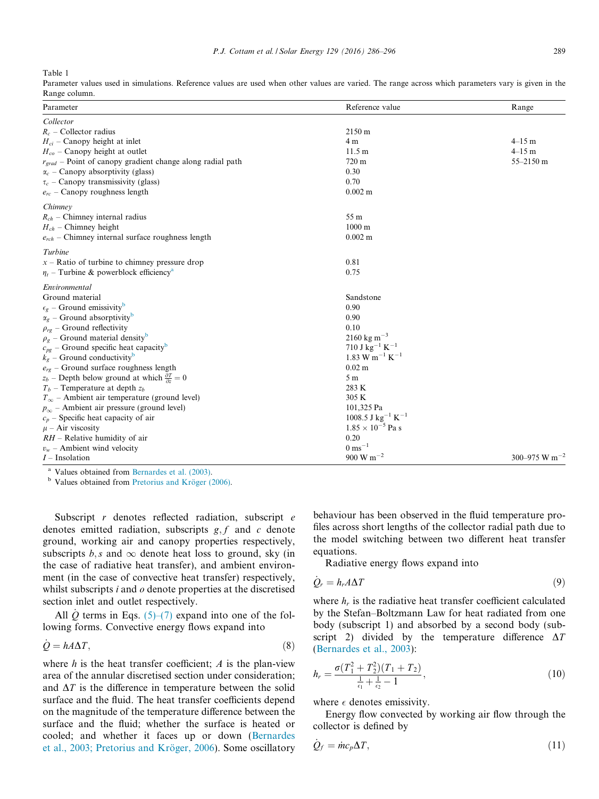<span id="page-3-0"></span>Table 1

Parameter values used in simulations. Reference values are used when other values are varied. The range across which parameters vary is given in the Range column.

| Parameter                                                               | Reference value                             | Range                                  |
|-------------------------------------------------------------------------|---------------------------------------------|----------------------------------------|
| Collector                                                               |                                             |                                        |
| $R_c$ – Collector radius                                                | $2150 \text{ m}$                            |                                        |
| $H_{ci}$ – Canopy height at inlet                                       | 4 m                                         | $4 - 15$ m                             |
| $H_{co}$ – Canopy height at outlet                                      | 11.5 m                                      | $4 - 15$ m                             |
| $r_{grad}$ – Point of canopy gradient change along radial path          | 720 m                                       | 55-2150 m                              |
| $\alpha_c$ – Canopy absorptivity (glass)                                | 0.30                                        |                                        |
| $\tau_c$ – Canopy transmissivity (glass)                                | 0.70                                        |                                        |
| $e_{rc}$ – Canopy roughness length                                      | $0.002 \text{ m}$                           |                                        |
| Chimney                                                                 |                                             |                                        |
| $R_{ch}$ – Chimney internal radius                                      | 55 m                                        |                                        |
| $H_{ch}$ – Chimney height                                               | $1000 \text{ m}$                            |                                        |
| $e_{rch}$ – Chimney internal surface roughness length                   | $0.002 \text{ m}$                           |                                        |
| Turbine                                                                 |                                             |                                        |
| $x$ – Ratio of turbine to chimney pressure drop                         | 0.81                                        |                                        |
| $\eta_t$ – Turbine & powerblock efficiency <sup>a</sup>                 | 0.75                                        |                                        |
| Environmental                                                           |                                             |                                        |
| Ground material                                                         | Sandstone                                   |                                        |
| $\epsilon_{g}$ – Ground emissivity <sup>b</sup>                         | 0.90                                        |                                        |
| $\alpha_g$ – Ground absorptivity <sup>b</sup>                           | 0.90                                        |                                        |
| $\rho_{rg}$ – Ground reflectivity                                       | 0.10                                        |                                        |
| $\rho_{g}$ – Ground material density <sup>b</sup>                       | $2160 \text{ kg m}^{-3}$                    |                                        |
| $c_{pg}$ – Ground specific heat capacity <sup>b</sup>                   | $710 \text{ J kg}^{-1} \text{ K}^{-1}$      |                                        |
| $k_g$ – Ground conductivity <sup>b</sup>                                | $1.83 \text{ W m}^{-1} \text{ K}^{-1}$      |                                        |
| $e_{rg}$ – Ground surface roughness length                              | 0.02 <sub>m</sub>                           |                                        |
| $z_b$ – Depth below ground at which $\frac{\partial T}{\partial z} = 0$ | 5 <sub>m</sub>                              |                                        |
| $Tb$ – Temperature at depth $zb$                                        | 283 K                                       |                                        |
| $T_{\infty}$ – Ambient air temperature (ground level)                   | 305 K                                       |                                        |
| $p_{\infty}$ – Ambient air pressure (ground level)                      | 101,325 Pa                                  |                                        |
| $c_n$ – Specific heat capacity of air                                   | $1008.5$ J kg <sup>-1</sup> K <sup>-1</sup> |                                        |
| $\mu$ – Air viscosity                                                   | $1.85 \times 10^{-5}$ Pa s                  |                                        |
| $RH$ – Relative humidity of air                                         | 0.20                                        |                                        |
| $v_w$ – Ambient wind velocity                                           | $0 \text{ ms}^{-1}$                         |                                        |
| $I$ – Insolation                                                        | $900~\mathrm{W}~\mathrm{m}^{-2}$            | 300–975 W m <sup><math>-2</math></sup> |

<sup>a</sup> Values obtained from [Bernardes et al. \(2003\)](#page-9-0).

b Values obtained from Pretorius and Kröger (2006).

Subscript r denotes reflected radiation, subscript e denotes emitted radiation, subscripts  $g, f$  and c denote ground, working air and canopy properties respectively, subscripts b, s and  $\infty$  denote heat loss to ground, sky (in the case of radiative heat transfer), and ambient environment (in the case of convective heat transfer) respectively, whilst subscripts  $i$  and  $o$  denote properties at the discretised section inlet and outlet respectively.

All Q terms in Eqs.  $(5)$ – $(7)$  expand into one of the following forms. Convective energy flows expand into

$$
Q = hA\Delta T,\t\t(8)
$$

where  $h$  is the heat transfer coefficient;  $A$  is the plan-view area of the annular discretised section under consideration; and  $\Delta T$  is the difference in temperature between the solid surface and the fluid. The heat transfer coefficients depend on the magnitude of the temperature difference between the surface and the fluid; whether the surface is heated or cooled; and whether it faces up or down ([Bernardes](#page-9-0) et al., 2003; Pretorius and Kröger, 2006). Some oscillatory behaviour has been observed in the fluid temperature profiles across short lengths of the collector radial path due to the model switching between two different heat transfer equations.

Radiative energy flows expand into

$$
\dot{Q}_r = h_r A \Delta T \tag{9}
$$

where  $h_r$  is the radiative heat transfer coefficient calculated by the Stefan–Boltzmann Law for heat radiated from one body (subscript 1) and absorbed by a second body (subscript 2) divided by the temperature difference  $\Delta T$ ([Bernardes et al., 2003\)](#page-9-0):

$$
h_r = \frac{\sigma (T_1^2 + T_2^2)(T_1 + T_2)}{\frac{1}{\epsilon_1} + \frac{1}{\epsilon_2} - 1},\tag{10}
$$

where  $\epsilon$  denotes emissivity.

Energy flow convected by working air flow through the collector is defined by

$$
\dot{Q}_f = \dot{m}c_p \Delta T,\tag{11}
$$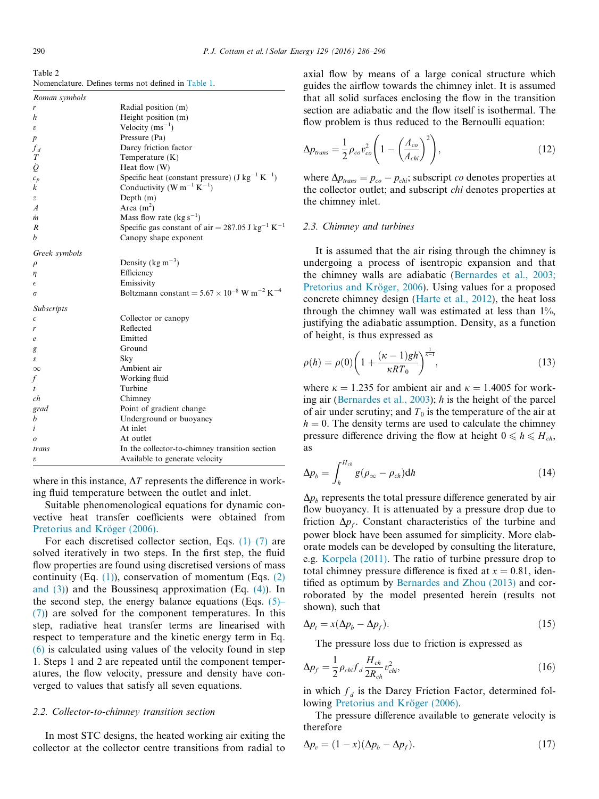<span id="page-4-0"></span>

| Table 2                                             |  |  |  |  |
|-----------------------------------------------------|--|--|--|--|
| Nomenclature. Defines terms not defined in Table 1. |  |  |  |  |

| Roman symbols       |                                                                              |  |  |
|---------------------|------------------------------------------------------------------------------|--|--|
| r                   | Radial position (m)                                                          |  |  |
| h                   | Height position (m)                                                          |  |  |
| $\boldsymbol{\eta}$ | Velocity $(ms^{-1})$                                                         |  |  |
| $\boldsymbol{p}$    | Pressure (Pa)                                                                |  |  |
| $f_d$               | Darcy friction factor                                                        |  |  |
| $\boldsymbol{T}$    | Temperature $(K)$                                                            |  |  |
| $\dot{\varrho}$     | Heat flow $(W)$                                                              |  |  |
| $c_p$               | Specific heat (constant pressure) $(J kg^{-1} K^{-1})$                       |  |  |
| $\boldsymbol{k}$    | Conductivity (W m <sup>-1</sup> K <sup>-1</sup> )                            |  |  |
| $\mathcal{Z}$       | Depth $(m)$                                                                  |  |  |
| $\overline{A}$      | Area $(m^2)$                                                                 |  |  |
| m                   | Mass flow rate $(kg s^{-1})$                                                 |  |  |
| R                   | Specific gas constant of air = 287.05 J kg <sup>-1</sup> K <sup>-1</sup>     |  |  |
| h                   | Canopy shape exponent                                                        |  |  |
| Greek symbols       |                                                                              |  |  |
| $\rho$              | Density ( $\text{kg m}^{-3}$ )                                               |  |  |
| η                   | Efficiency                                                                   |  |  |
| $\epsilon$          | Emissivity                                                                   |  |  |
| $\sigma$            | Boltzmann constant = $5.67 \times 10^{-8}$ W m <sup>-2</sup> K <sup>-4</sup> |  |  |
| Subscripts          |                                                                              |  |  |
| $\mathcal{C}_{0}$   | Collector or canopy                                                          |  |  |
| r                   | Reflected                                                                    |  |  |
| $\mathfrak{e}$      | Emitted                                                                      |  |  |
| g                   | Ground                                                                       |  |  |
| $\mathcal{S}$       | Sky                                                                          |  |  |
| $\infty$            | Ambient air                                                                  |  |  |
| f                   | Working fluid                                                                |  |  |
| $\mathbf{r}$        | Turbine                                                                      |  |  |
| ch                  | Chimney                                                                      |  |  |
| grad                | Point of gradient change                                                     |  |  |
| b                   | Underground or buoyancy                                                      |  |  |
| i                   | At inlet                                                                     |  |  |
| $\boldsymbol{o}$    | At outlet                                                                    |  |  |
| trans               | In the collector-to-chimney transition section                               |  |  |
| v                   | Available to generate velocity                                               |  |  |

where in this instance,  $\Delta T$  represents the difference in working fluid temperature between the outlet and inlet.

Suitable phenomenological equations for dynamic convective heat transfer coefficients were obtained from Pretorius and Kröger (2006).

For each discretised collector section, Eqs.  $(1)$ – $(7)$  are solved iteratively in two steps. In the first step, the fluid flow properties are found using discretised versions of mass continuity (Eq.  $(1)$ ), conservation of momentum (Eqs.  $(2)$ ) [and \(3\)\)](#page-2-0) and the Boussinesq approximation (Eq. [\(4\)](#page-2-0)). In the second step, the energy balance equations (Eqs.  $(5)$ – [\(7\)](#page-2-0)) are solved for the component temperatures. In this step, radiative heat transfer terms are linearised with respect to temperature and the kinetic energy term in Eq. [\(6\)](#page-2-0) is calculated using values of the velocity found in step 1. Steps 1 and 2 are repeated until the component temperatures, the flow velocity, pressure and density have converged to values that satisfy all seven equations.

## 2.2. Collector-to-chimney transition section

In most STC designs, the heated working air exiting the collector at the collector centre transitions from radial to axial flow by means of a large conical structure which guides the airflow towards the chimney inlet. It is assumed that all solid surfaces enclosing the flow in the transition section are adiabatic and the flow itself is isothermal. The flow problem is thus reduced to the Bernoulli equation:

$$
\Delta p_{trans} = \frac{1}{2} \rho_{co} v_{co}^2 \left( 1 - \left( \frac{A_{co}}{A_{chl}} \right)^2 \right), \tag{12}
$$

where  $\Delta p_{trans} = p_{co} - p_{chi}$ ; subscript *co* denotes properties at the collector outlet; and subscript chi denotes properties at the chimney inlet.

#### 2.3. Chimney and turbines

It is assumed that the air rising through the chimney is undergoing a process of isentropic expansion and that the chimney walls are adiabatic ([Bernardes et al., 2003;](#page-9-0) Pretorius and Kröger, 2006). Using values for a proposed concrete chimney design ([Harte et al., 2012](#page-10-0)), the heat loss through the chimney wall was estimated at less than  $1\%$ , justifying the adiabatic assumption. Density, as a function of height, is thus expressed as

$$
\rho(h) = \rho(0) \left( 1 + \frac{(\kappa - 1)gh}{\kappa RT_0} \right)^{\frac{1}{\kappa - 1}},\tag{13}
$$

where  $\kappa = 1.235$  for ambient air and  $\kappa = 1.4005$  for working air ([Bernardes et al., 2003\)](#page-9-0); h is the height of the parcel of air under scrutiny; and  $T_0$  is the temperature of the air at  $h = 0$ . The density terms are used to calculate the chimney pressure difference driving the flow at height  $0 \le h \le H_{ch}$ , as

$$
\Delta p_b = \int_h^{H_{ch}} g(\rho_\infty - \rho_{ch}) \mathrm{d}h \tag{14}
$$

 $\Delta p_b$  represents the total pressure difference generated by air flow buoyancy. It is attenuated by a pressure drop due to friction  $\Delta p_f$ . Constant characteristics of the turbine and power block have been assumed for simplicity. More elaborate models can be developed by consulting the literature, e.g. [Korpela \(2011\)](#page-10-0). The ratio of turbine pressure drop to total chimney pressure difference is fixed at  $x = 0.81$ , identified as optimum by [Bernardes and Zhou \(2013\)](#page-9-0) and corroborated by the model presented herein (results not shown), such that

$$
\Delta p_t = x(\Delta p_b - \Delta p_f). \tag{15}
$$

The pressure loss due to friction is expressed as

$$
\Delta p_f = \frac{1}{2} \rho_{chi} f_d \frac{H_{ch}}{2R_{ch}} v_{chi}^2,\tag{16}
$$

in which  $f_d$  is the Darcy Friction Factor, determined following Pretorius and Kröger (2006).

The pressure difference available to generate velocity is therefore

$$
\Delta p_v = (1 - x)(\Delta p_b - \Delta p_f). \tag{17}
$$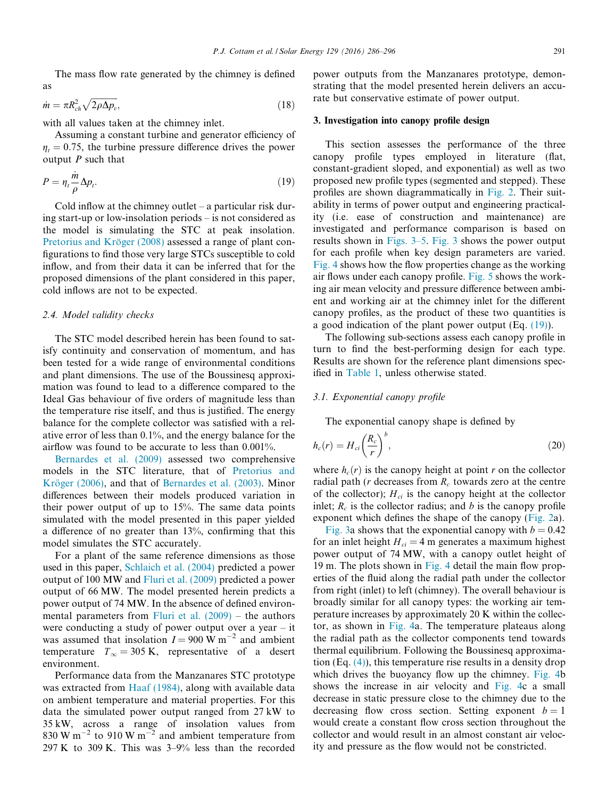The mass flow rate generated by the chimney is defined as

$$
\dot{m} = \pi R_{ch}^2 \sqrt{2\rho \Delta p_v},\tag{18}
$$

with all values taken at the chimney inlet.

Assuming a constant turbine and generator efficiency of  $\eta_t = 0.75$ , the turbine pressure difference drives the power output  $P$  such that

$$
P = \eta_t \frac{\dot{m}}{\rho} \Delta p_t. \tag{19}
$$

Cold inflow at the chimney outlet – a particular risk during start-up or low-insolation periods – is not considered as the model is simulating the STC at peak insolation. Pretorius and Kröger (2008) assessed a range of plant configurations to find those very large STCs susceptible to cold inflow, and from their data it can be inferred that for the proposed dimensions of the plant considered in this paper, cold inflows are not to be expected.

### 2.4. Model validity checks

The STC model described herein has been found to satisfy continuity and conservation of momentum, and has been tested for a wide range of environmental conditions and plant dimensions. The use of the Boussinesq approximation was found to lead to a difference compared to the Ideal Gas behaviour of five orders of magnitude less than the temperature rise itself, and thus is justified. The energy balance for the complete collector was satisfied with a relative error of less than 0.1%, and the energy balance for the airflow was found to be accurate to less than 0.001%.

[Bernardes et al. \(2009\)](#page-9-0) assessed two comprehensive models in the STC literature, that of [Pretorius and](#page-10-0) Kröger (2006), and that of [Bernardes et al. \(2003\).](#page-9-0) Minor differences between their models produced variation in their power output of up to 15%. The same data points simulated with the model presented in this paper yielded a difference of no greater than 13%, confirming that this model simulates the STC accurately.

For a plant of the same reference dimensions as those used in this paper, [Schlaich et al. \(2004\)](#page-10-0) predicted a power output of 100 MW and [Fluri et al. \(2009\)](#page-10-0) predicted a power output of 66 MW. The model presented herein predicts a power output of 74 MW. In the absence of defined environmental parameters from Fluri et al.  $(2009)$  – the authors were conducting a study of power output over a year – it was assumed that insolation  $I = 900 \text{ W m}^{-2}$  and ambient temperature  $T_{\infty} = 305 \text{ K}$ , representative of a desert environment.

Performance data from the Manzanares STC prototype was extracted from [Haaf \(1984\)](#page-10-0), along with available data on ambient temperature and material properties. For this data the simulated power output ranged from 27 kW to 35 kW, across a range of insolation values from 830 W m<sup> $-2$ </sup> to 910 W m<sup> $-2$ </sup> and ambient temperature from 297 K to 309 K. This was  $3-9%$  less than the recorded power outputs from the Manzanares prototype, demonstrating that the model presented herein delivers an accurate but conservative estimate of power output.

## 3. Investigation into canopy profile design

This section assesses the performance of the three canopy profile types employed in literature (flat, constant-gradient sloped, and exponential) as well as two proposed new profile types (segmented and stepped). These profiles are shown diagrammatically in [Fig. 2.](#page-6-0) Their suitability in terms of power output and engineering practicality (i.e. ease of construction and maintenance) are investigated and performance comparison is based on results shown in [Figs. 3–5.](#page-7-0) [Fig. 3](#page-7-0) shows the power output for each profile when key design parameters are varied. [Fig. 4](#page-7-0) shows how the flow properties change as the working air flows under each canopy profile. [Fig. 5](#page-8-0) shows the working air mean velocity and pressure difference between ambient and working air at the chimney inlet for the different canopy profiles, as the product of these two quantities is a good indication of the plant power output (Eq. (19)).

The following sub-sections assess each canopy profile in turn to find the best-performing design for each type. Results are shown for the reference plant dimensions specified in [Table 1](#page-3-0), unless otherwise stated.

#### 3.1. Exponential canopy profile

The exponential canopy shape is defined by

$$
h_c(r) = H_{ci} \left(\frac{R_c}{r}\right)^b,\tag{20}
$$

where  $h_c(r)$  is the canopy height at point r on the collector radial path (*r* decreases from  $R_c$  towards zero at the centre of the collector);  $H_{ci}$  is the canopy height at the collector inlet;  $R_c$  is the collector radius; and b is the canopy profile exponent which defines the shape of the canopy [\(Fig. 2a](#page-6-0)).

[Fig. 3](#page-7-0)a shows that the exponential canopy with  $b = 0.42$ for an inlet height  $H_{ci} = 4$  m generates a maximum highest power output of 74 MW, with a canopy outlet height of 19 m. The plots shown in [Fig. 4](#page-7-0) detail the main flow properties of the fluid along the radial path under the collector from right (inlet) to left (chimney). The overall behaviour is broadly similar for all canopy types: the working air temperature increases by approximately 20 K within the collector, as shown in [Fig. 4](#page-7-0)a. The temperature plateaus along the radial path as the collector components tend towards thermal equilibrium. Following the Boussinesq approximation (Eq. [\(4\)](#page-2-0)), this temperature rise results in a density drop which drives the buoyancy flow up the chimney. [Fig. 4](#page-7-0)b shows the increase in air velocity and [Fig. 4c](#page-7-0) a small decrease in static pressure close to the chimney due to the decreasing flow cross section. Setting exponent  $b = 1$ would create a constant flow cross section throughout the collector and would result in an almost constant air velocity and pressure as the flow would not be constricted.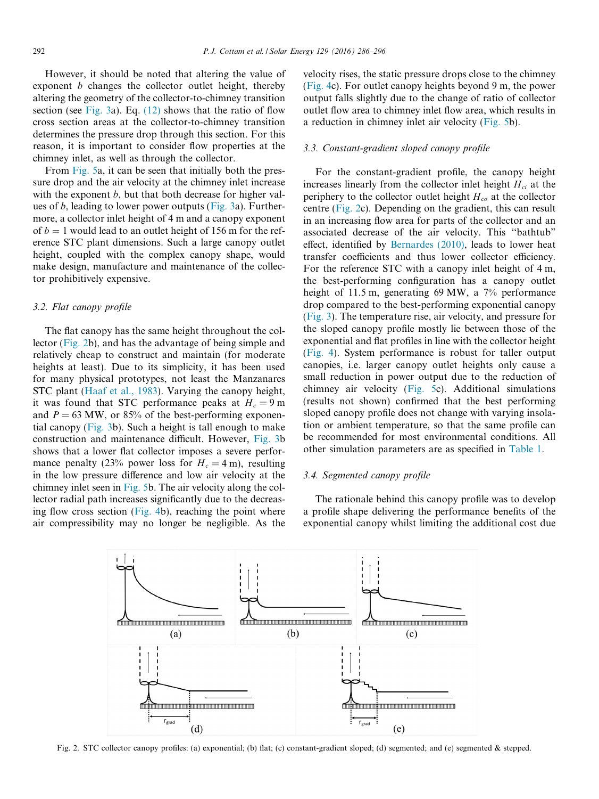<span id="page-6-0"></span>However, it should be noted that altering the value of exponent b changes the collector outlet height, thereby altering the geometry of the collector-to-chimney transition section (see [Fig. 3](#page-7-0)a). Eq.  $(12)$  shows that the ratio of flow cross section areas at the collector-to-chimney transition determines the pressure drop through this section. For this reason, it is important to consider flow properties at the chimney inlet, as well as through the collector.

From [Fig. 5](#page-8-0)a, it can be seen that initially both the pressure drop and the air velocity at the chimney inlet increase with the exponent  $b$ , but that both decrease for higher values of  $b$ , leading to lower power outputs [\(Fig. 3a](#page-7-0)). Furthermore, a collector inlet height of 4 m and a canopy exponent of  $b = 1$  would lead to an outlet height of 156 m for the reference STC plant dimensions. Such a large canopy outlet height, coupled with the complex canopy shape, would make design, manufacture and maintenance of the collector prohibitively expensive.

#### 3.2. Flat canopy profile

The flat canopy has the same height throughout the collector (Fig. 2b), and has the advantage of being simple and relatively cheap to construct and maintain (for moderate heights at least). Due to its simplicity, it has been used for many physical prototypes, not least the Manzanares STC plant [\(Haaf et al., 1983\)](#page-10-0). Varying the canopy height, it was found that STC performance peaks at  $H_c = 9$  m and  $P = 63$  MW, or 85% of the best-performing exponential canopy ([Fig. 3b](#page-7-0)). Such a height is tall enough to make construction and maintenance difficult. However, [Fig. 3](#page-7-0)b shows that a lower flat collector imposes a severe performance penalty (23% power loss for  $H_c = 4$  m), resulting in the low pressure difference and low air velocity at the chimney inlet seen in [Fig. 5](#page-8-0)b. The air velocity along the collector radial path increases significantly due to the decreasing flow cross section ([Fig. 4b](#page-7-0)), reaching the point where air compressibility may no longer be negligible. As the velocity rises, the static pressure drops close to the chimney [\(Fig. 4c](#page-7-0)). For outlet canopy heights beyond 9 m, the power output falls slightly due to the change of ratio of collector outlet flow area to chimney inlet flow area, which results in a reduction in chimney inlet air velocity ([Fig. 5](#page-8-0)b).

#### 3.3. Constant-gradient sloped canopy profile

For the constant-gradient profile, the canopy height increases linearly from the collector inlet height  $H_{ci}$  at the periphery to the collector outlet height  $H_{co}$  at the collector centre (Fig. 2c). Depending on the gradient, this can result in an increasing flow area for parts of the collector and an associated decrease of the air velocity. This ''bathtub" effect, identified by [Bernardes \(2010\),](#page-9-0) leads to lower heat transfer coefficients and thus lower collector efficiency. For the reference STC with a canopy inlet height of 4 m, the best-performing configuration has a canopy outlet height of 11.5 m, generating 69 MW, a 7% performance drop compared to the best-performing exponential canopy [\(Fig. 3\)](#page-7-0). The temperature rise, air velocity, and pressure for the sloped canopy profile mostly lie between those of the exponential and flat profiles in line with the collector height [\(Fig. 4\)](#page-7-0). System performance is robust for taller output canopies, i.e. larger canopy outlet heights only cause a small reduction in power output due to the reduction of chimney air velocity [\(Fig. 5c](#page-8-0)). Additional simulations (results not shown) confirmed that the best performing sloped canopy profile does not change with varying insolation or ambient temperature, so that the same profile can be recommended for most environmental conditions. All other simulation parameters are as specified in [Table 1.](#page-3-0)

#### 3.4. Segmented canopy profile

The rationale behind this canopy profile was to develop a profile shape delivering the performance benefits of the exponential canopy whilst limiting the additional cost due



Fig. 2. STC collector canopy profiles: (a) exponential; (b) flat; (c) constant-gradient sloped; (d) segmented; and (e) segmented & stepped.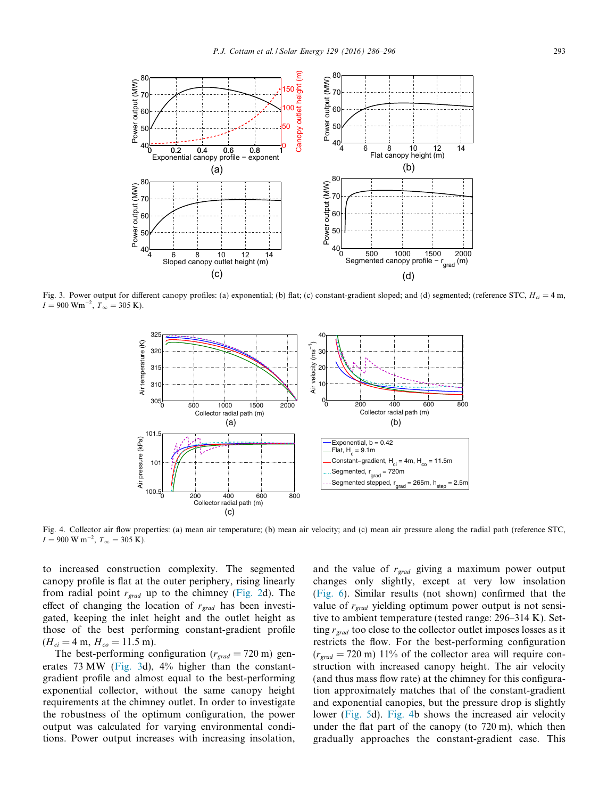<span id="page-7-0"></span>

Fig. 3. Power output for different canopy profiles: (a) exponential; (b) flat; (c) constant-gradient sloped; and (d) segmented; (reference STC,  $H_{ci} = 4$  m,  $I = 900 \text{ Wm}^{-2}$ ,  $T_{\infty} = 305 \text{ K}$ ).



Fig. 4. Collector air flow properties: (a) mean air temperature; (b) mean air velocity; and (c) mean air pressure along the radial path (reference STC,  $I = 900 \text{ W m}^{-2}$ ,  $T_{\infty} = 305 \text{ K}$ ).

to increased construction complexity. The segmented canopy profile is flat at the outer periphery, rising linearly from radial point  $r_{grad}$  up to the chimney ([Fig. 2](#page-6-0)d). The effect of changing the location of  $r_{grad}$  has been investigated, keeping the inlet height and the outlet height as those of the best performing constant-gradient profile  $(H_{ci} = 4 \text{ m}, H_{co} = 11.5 \text{ m}).$ 

The best-performing configuration ( $r_{grad} = 720$  m) generates 73 MW (Fig. 3d), 4% higher than the constantgradient profile and almost equal to the best-performing exponential collector, without the same canopy height requirements at the chimney outlet. In order to investigate the robustness of the optimum configuration, the power output was calculated for varying environmental conditions. Power output increases with increasing insolation, and the value of  $r_{grad}$  giving a maximum power output changes only slightly, except at very low insolation ([Fig. 6\)](#page-9-0). Similar results (not shown) confirmed that the value of  $r_{grad}$  yielding optimum power output is not sensitive to ambient temperature (tested range: 296–314 K). Setting  $r_{grad}$  too close to the collector outlet imposes losses as it restricts the flow. For the best-performing configuration  $(r_{grad} = 720 \text{ m})$  11% of the collector area will require construction with increased canopy height. The air velocity (and thus mass flow rate) at the chimney for this configuration approximately matches that of the constant-gradient and exponential canopies, but the pressure drop is slightly lower ([Fig. 5](#page-8-0)d). Fig. 4b shows the increased air velocity under the flat part of the canopy (to 720 m), which then gradually approaches the constant-gradient case. This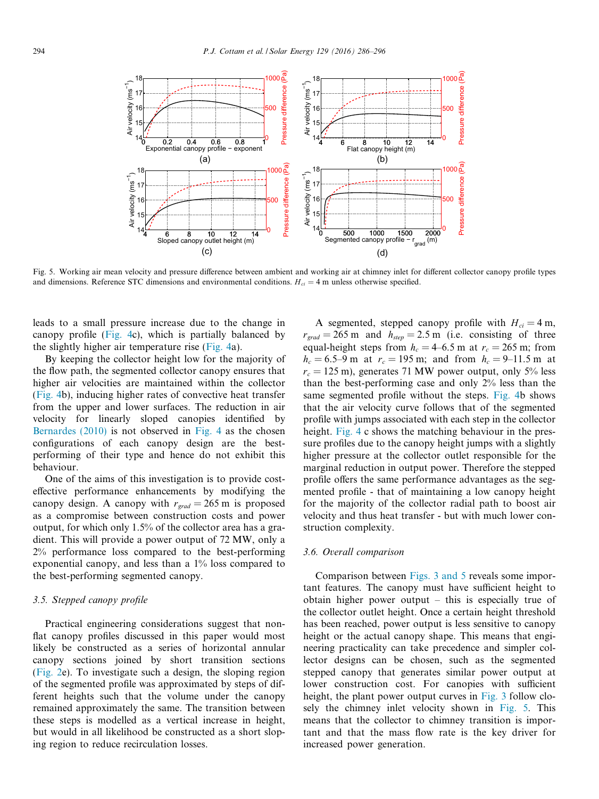<span id="page-8-0"></span>

Fig. 5. Working air mean velocity and pressure difference between ambient and working air at chimney inlet for different collector canopy profile types and dimensions. Reference STC dimensions and environmental conditions.  $H_{ci} = 4$  m unless otherwise specified.

leads to a small pressure increase due to the change in canopy profile ([Fig. 4c](#page-7-0)), which is partially balanced by the slightly higher air temperature rise ([Fig. 4](#page-7-0)a).

By keeping the collector height low for the majority of the flow path, the segmented collector canopy ensures that higher air velocities are maintained within the collector [\(Fig. 4](#page-7-0)b), inducing higher rates of convective heat transfer from the upper and lower surfaces. The reduction in air velocity for linearly sloped canopies identified by [Bernardes \(2010\)](#page-9-0) is not observed in [Fig. 4](#page-7-0) as the chosen configurations of each canopy design are the bestperforming of their type and hence do not exhibit this behaviour.

One of the aims of this investigation is to provide costeffective performance enhancements by modifying the canopy design. A canopy with  $r_{grad} = 265$  m is proposed as a compromise between construction costs and power output, for which only 1.5% of the collector area has a gradient. This will provide a power output of 72 MW, only a 2% performance loss compared to the best-performing exponential canopy, and less than a 1% loss compared to the best-performing segmented canopy.

## 3.5. Stepped canopy profile

Practical engineering considerations suggest that nonflat canopy profiles discussed in this paper would most likely be constructed as a series of horizontal annular canopy sections joined by short transition sections [\(Fig. 2e](#page-6-0)). To investigate such a design, the sloping region of the segmented profile was approximated by steps of different heights such that the volume under the canopy remained approximately the same. The transition between these steps is modelled as a vertical increase in height, but would in all likelihood be constructed as a short sloping region to reduce recirculation losses.

A segmented, stepped canopy profile with  $H_{ci} = 4$  m,  $r_{grad} = 265$  m and  $h_{step} = 2.5$  m (i.e. consisting of three equal-height steps from  $h_c = 4-6.5$  m at  $r_c = 265$  m; from  $h_c = 6.5$ –9 m at  $r_c = 195$  m; and from  $h_c = 9$ –11.5 m at  $r_c = 125$  m), generates 71 MW power output, only 5% less than the best-performing case and only 2% less than the same segmented profile without the steps. [Fig. 4](#page-7-0)b shows that the air velocity curve follows that of the segmented profile with jumps associated with each step in the collector height. [Fig. 4](#page-7-0) c shows the matching behaviour in the pressure profiles due to the canopy height jumps with a slightly higher pressure at the collector outlet responsible for the marginal reduction in output power. Therefore the stepped profile offers the same performance advantages as the segmented profile - that of maintaining a low canopy height for the majority of the collector radial path to boost air velocity and thus heat transfer - but with much lower construction complexity.

## 3.6. Overall comparison

Comparison between [Figs. 3 and 5](#page-7-0) reveals some important features. The canopy must have sufficient height to obtain higher power output – this is especially true of the collector outlet height. Once a certain height threshold has been reached, power output is less sensitive to canopy height or the actual canopy shape. This means that engineering practicality can take precedence and simpler collector designs can be chosen, such as the segmented stepped canopy that generates similar power output at lower construction cost. For canopies with sufficient height, the plant power output curves in [Fig. 3](#page-7-0) follow closely the chimney inlet velocity shown in Fig. 5. This means that the collector to chimney transition is important and that the mass flow rate is the key driver for increased power generation.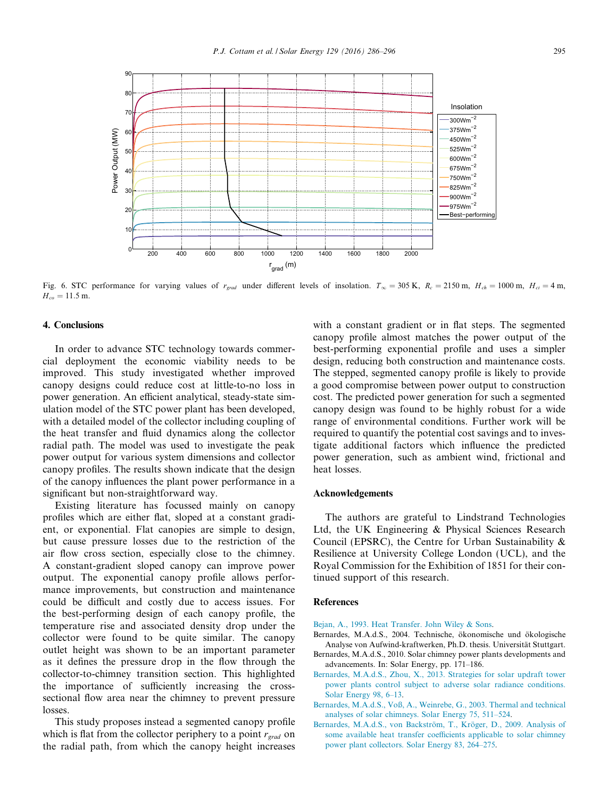<span id="page-9-0"></span>

Fig. 6. STC performance for varying values of  $r_{grad}$  under different levels of insolation.  $T_{\infty} = 305$  K,  $R_c = 2150$  m,  $H_{ch} = 1000$  m,  $H_{ci} = 4$  m,  $H_{co} = 11.5 \text{ m}.$ 

#### 4. Conclusions

In order to advance STC technology towards commercial deployment the economic viability needs to be improved. This study investigated whether improved canopy designs could reduce cost at little-to-no loss in power generation. An efficient analytical, steady-state simulation model of the STC power plant has been developed, with a detailed model of the collector including coupling of the heat transfer and fluid dynamics along the collector radial path. The model was used to investigate the peak power output for various system dimensions and collector canopy profiles. The results shown indicate that the design of the canopy influences the plant power performance in a significant but non-straightforward way.

Existing literature has focussed mainly on canopy profiles which are either flat, sloped at a constant gradient, or exponential. Flat canopies are simple to design, but cause pressure losses due to the restriction of the air flow cross section, especially close to the chimney. A constant-gradient sloped canopy can improve power output. The exponential canopy profile allows performance improvements, but construction and maintenance could be difficult and costly due to access issues. For the best-performing design of each canopy profile, the temperature rise and associated density drop under the collector were found to be quite similar. The canopy outlet height was shown to be an important parameter as it defines the pressure drop in the flow through the collector-to-chimney transition section. This highlighted the importance of sufficiently increasing the crosssectional flow area near the chimney to prevent pressure losses.

This study proposes instead a segmented canopy profile which is flat from the collector periphery to a point  $r_{grad}$  on the radial path, from which the canopy height increases with a constant gradient or in flat steps. The segmented canopy profile almost matches the power output of the best-performing exponential profile and uses a simpler design, reducing both construction and maintenance costs. The stepped, segmented canopy profile is likely to provide a good compromise between power output to construction cost. The predicted power generation for such a segmented canopy design was found to be highly robust for a wide range of environmental conditions. Further work will be required to quantify the potential cost savings and to investigate additional factors which influence the predicted power generation, such as ambient wind, frictional and heat losses.

#### Acknowledgements

The authors are grateful to Lindstrand Technologies Ltd, the UK Engineering & Physical Sciences Research Council (EPSRC), the Centre for Urban Sustainability & Resilience at University College London (UCL), and the Royal Commission for the Exhibition of 1851 for their continued support of this research.

#### References

[Bejan, A., 1993. Heat Transfer. John Wiley & Sons](http://refhub.elsevier.com/S0038-092X(16)00076-1/h0005).

- Bernardes, M.A.d.S., 2004. Technische, ökonomische und ökologische Analyse von Aufwind-kraftwerken, Ph.D. thesis. Universität Stuttgart.
- Bernardes, M.A.d.S., 2010. Solar chimney power plants developments and advancements. In: Solar Energy, pp. 171–186.
- [Bernardes, M.A.d.S., Zhou, X., 2013. Strategies for solar updraft tower](http://refhub.elsevier.com/S0038-092X(16)00076-1/h0020) [power plants control subject to adverse solar radiance conditions.](http://refhub.elsevier.com/S0038-092X(16)00076-1/h0020) [Solar Energy 98, 6–13.](http://refhub.elsevier.com/S0038-092X(16)00076-1/h0020)
- [Bernardes, M.A.d.S., Voß, A., Weinrebe, G., 2003. Thermal and technical](http://refhub.elsevier.com/S0038-092X(16)00076-1/h0025) [analyses of solar chimneys. Solar Energy 75, 511–524](http://refhub.elsevier.com/S0038-092X(16)00076-1/h0025).
- Bernardes, M.A.d.S., von Backström, T., Kröger, D., 2009. Analysis of [some available heat transfer coefficients applicable to solar chimney](http://refhub.elsevier.com/S0038-092X(16)00076-1/h0030) [power plant collectors. Solar Energy 83, 264–275](http://refhub.elsevier.com/S0038-092X(16)00076-1/h0030).